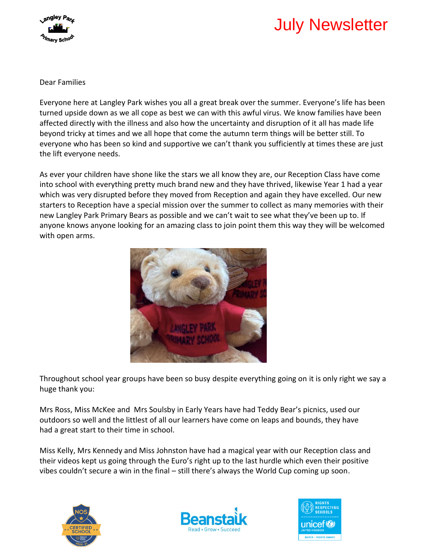

# July Newsletter

Dear Families

Everyone here at Langley Park wishes you all a great break over the summer. Everyone's life has been turned upside down as we all cope as best we can with this awful virus. We know families have been affected directly with the illness and also how the uncertainty and disruption of it all has made life beyond tricky at times and we all hope that come the autumn term things will be better still. To everyone who has been so kind and supportive we can't thank you sufficiently at times these are just the lift everyone needs.

As ever your children have shone like the stars we all know they are, our Reception Class have come into school with everything pretty much brand new and they have thrived, likewise Year 1 had a year which was very disrupted before they moved from Reception and again they have excelled. Our new starters to Reception have a special mission over the summer to collect as many memories with their new Langley Park Primary Bears as possible and we can't wait to see what they've been up to. If anyone knows anyone looking for an amazing class to join point them this way they will be welcomed with open arms.



Throughout school year groups have been so busy despite everything going on it is only right we say a huge thank you:

Mrs Ross, Miss McKee and Mrs Soulsby in Early Years have had Teddy Bear's picnics, used our outdoors so well and the littlest of all our learners have come on leaps and bounds, they have had a great start to their time in school.

Miss Kelly, Mrs Kennedy and Miss Johnston have had a magical year with our Reception class and their videos kept us going through the Euro's right up to the last hurdle which even their positive vibes couldn't secure a win in the final – still there's always the World Cup coming up soon.





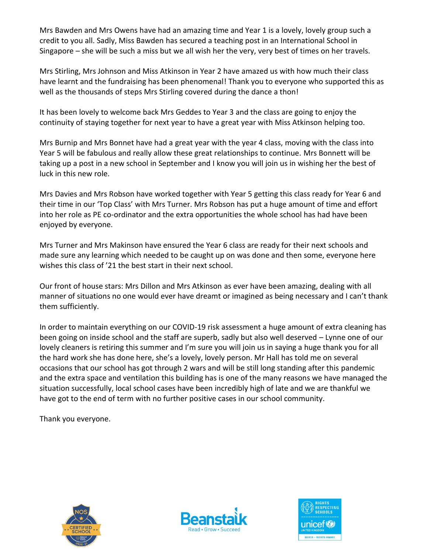Mrs Bawden and Mrs Owens have had an amazing time and Year 1 is a lovely, lovely group such a credit to you all. Sadly, Miss Bawden has secured a teaching post in an International School in Singapore – she will be such a miss but we all wish her the very, very best of times on her travels.

Mrs Stirling, Mrs Johnson and Miss Atkinson in Year 2 have amazed us with how much their class have learnt and the fundraising has been phenomenal! Thank you to everyone who supported this as well as the thousands of steps Mrs Stirling covered during the dance a thon!

It has been lovely to welcome back Mrs Geddes to Year 3 and the class are going to enjoy the continuity of staying together for next year to have a great year with Miss Atkinson helping too.

Mrs Burnip and Mrs Bonnet have had a great year with the year 4 class, moving with the class into Year 5 will be fabulous and really allow these great relationships to continue. Mrs Bonnett will be taking up a post in a new school in September and I know you will join us in wishing her the best of luck in this new role.

Mrs Davies and Mrs Robson have worked together with Year 5 getting this class ready for Year 6 and their time in our 'Top Class' with Mrs Turner. Mrs Robson has put a huge amount of time and effort into her role as PE co-ordinator and the extra opportunities the whole school has had have been enjoyed by everyone.

Mrs Turner and Mrs Makinson have ensured the Year 6 class are ready for their next schools and made sure any learning which needed to be caught up on was done and then some, everyone here wishes this class of '21 the best start in their next school.

Our front of house stars: Mrs Dillon and Mrs Atkinson as ever have been amazing, dealing with all manner of situations no one would ever have dreamt or imagined as being necessary and I can't thank them sufficiently.

In order to maintain everything on our COVID-19 risk assessment a huge amount of extra cleaning has been going on inside school and the staff are superb, sadly but also well deserved – Lynne one of our lovely cleaners is retiring this summer and I'm sure you will join us in saying a huge thank you for all the hard work she has done here, she's a lovely, lovely person. Mr Hall has told me on several occasions that our school has got through 2 wars and will be still long standing after this pandemic and the extra space and ventilation this building has is one of the many reasons we have managed the situation successfully, local school cases have been incredibly high of late and we are thankful we have got to the end of term with no further positive cases in our school community.

Thank you everyone.





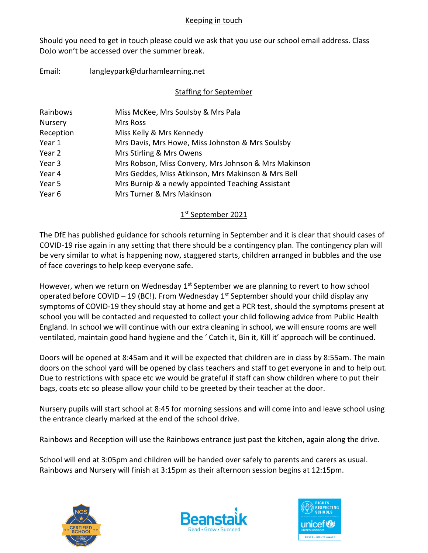#### Keeping in touch

Should you need to get in touch please could we ask that you use our school email address. Class DoJo won't be accessed over the summer break.

Email: langleypark@durhamlearning.net

### Staffing for September

| Miss McKee, Mrs Soulsby & Mrs Pala                   |
|------------------------------------------------------|
| Mrs Ross                                             |
| Miss Kelly & Mrs Kennedy                             |
| Mrs Davis, Mrs Howe, Miss Johnston & Mrs Soulsby     |
| Mrs Stirling & Mrs Owens                             |
| Mrs Robson, Miss Convery, Mrs Johnson & Mrs Makinson |
| Mrs Geddes, Miss Atkinson, Mrs Makinson & Mrs Bell   |
| Mrs Burnip & a newly appointed Teaching Assistant    |
| Mrs Turner & Mrs Makinson                            |
|                                                      |

## 1st September 2021

The DfE has published guidance for schools returning in September and it is clear that should cases of COVID-19 rise again in any setting that there should be a contingency plan. The contingency plan will be very similar to what is happening now, staggered starts, children arranged in bubbles and the use of face coverings to help keep everyone safe.

However, when we return on Wednesday  $1<sup>st</sup>$  September we are planning to revert to how school operated before COVID – 19 (BC!). From Wednesday  $1^{st}$  September should your child display any symptoms of COVID-19 they should stay at home and get a PCR test, should the symptoms present at school you will be contacted and requested to collect your child following advice from Public Health England. In school we will continue with our extra cleaning in school, we will ensure rooms are well ventilated, maintain good hand hygiene and the ' Catch it, Bin it, Kill it' approach will be continued.

Doors will be opened at 8:45am and it will be expected that children are in class by 8:55am. The main doors on the school yard will be opened by class teachers and staff to get everyone in and to help out. Due to restrictions with space etc we would be grateful if staff can show children where to put their bags, coats etc so please allow your child to be greeted by their teacher at the door.

Nursery pupils will start school at 8:45 for morning sessions and will come into and leave school using the entrance clearly marked at the end of the school drive.

Rainbows and Reception will use the Rainbows entrance just past the kitchen, again along the drive.

School will end at 3:05pm and children will be handed over safely to parents and carers as usual. Rainbows and Nursery will finish at 3:15pm as their afternoon session begins at 12:15pm.





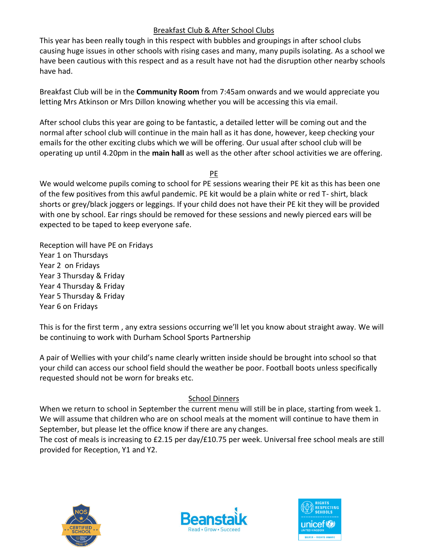## Breakfast Club & After School Clubs

This year has been really tough in this respect with bubbles and groupings in after school clubs causing huge issues in other schools with rising cases and many, many pupils isolating. As a school we have been cautious with this respect and as a result have not had the disruption other nearby schools have had.

Breakfast Club will be in the **Community Room** from 7:45am onwards and we would appreciate you letting Mrs Atkinson or Mrs Dillon knowing whether you will be accessing this via email.

After school clubs this year are going to be fantastic, a detailed letter will be coming out and the normal after school club will continue in the main hall as it has done, however, keep checking your emails for the other exciting clubs which we will be offering. Our usual after school club will be operating up until 4.20pm in the **main hall** as well as the other after school activities we are offering.

PE

We would welcome pupils coming to school for PE sessions wearing their PE kit as this has been one of the few positives from this awful pandemic. PE kit would be a plain white or red T- shirt, black shorts or grey/black joggers or leggings. If your child does not have their PE kit they will be provided with one by school. Ear rings should be removed for these sessions and newly pierced ears will be expected to be taped to keep everyone safe.

Reception will have PE on Fridays Year 1 on Thursdays Year 2 on Fridays Year 3 Thursday & Friday Year 4 Thursday & Friday Year 5 Thursday & Friday Year 6 on Fridays

This is for the first term , any extra sessions occurring we'll let you know about straight away. We will be continuing to work with Durham School Sports Partnership

A pair of Wellies with your child's name clearly written inside should be brought into school so that your child can access our school field should the weather be poor. Football boots unless specifically requested should not be worn for breaks etc.

## School Dinners

When we return to school in September the current menu will still be in place, starting from week 1. We will assume that children who are on school meals at the moment will continue to have them in September, but please let the office know if there are any changes.

The cost of meals is increasing to £2.15 per day/£10.75 per week. Universal free school meals are still provided for Reception, Y1 and Y2.





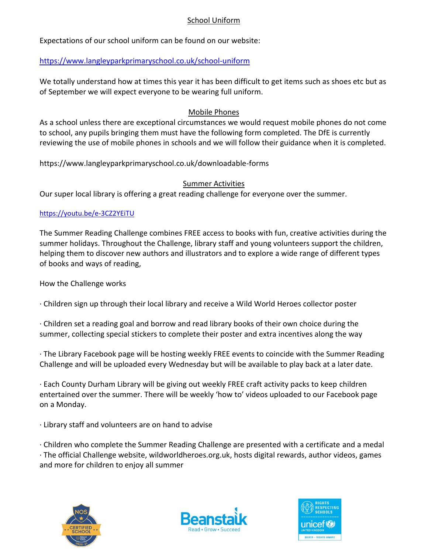#### School Uniform

Expectations of our school uniform can be found on our website:

### <https://www.langleyparkprimaryschool.co.uk/school-uniform>

We totally understand how at times this year it has been difficult to get items such as shoes etc but as of September we will expect everyone to be wearing full uniform.

#### Mobile Phones

As a school unless there are exceptional circumstances we would request mobile phones do not come to school, any pupils bringing them must have the following form completed. The DfE is currently reviewing the use of mobile phones in schools and we will follow their guidance when it is completed.

https://www.langleyparkprimaryschool.co.uk/downloadable-forms

### Summer Activities

Our super local library is offering a great reading challenge for everyone over the summer.

### <https://youtu.be/e-3CZ2YEiTU>

The Summer Reading Challenge combines FREE access to books with fun, creative activities during the summer holidays. Throughout the Challenge, library staff and young volunteers support the children, helping them to discover new authors and illustrators and to explore a wide range of different types of books and ways of reading,

How the Challenge works

· Children sign up through their local library and receive a Wild World Heroes collector poster

· Children set a reading goal and borrow and read library books of their own choice during the summer, collecting special stickers to complete their poster and extra incentives along the way

· The Library Facebook page will be hosting weekly FREE events to coincide with the Summer Reading Challenge and will be uploaded every Wednesday but will be available to play back at a later date.

· Each County Durham Library will be giving out weekly FREE craft activity packs to keep children entertained over the summer. There will be weekly 'how to' videos uploaded to our Facebook page on a Monday.

· Library staff and volunteers are on hand to advise

· Children who complete the Summer Reading Challenge are presented with a certificate and a medal

· The official Challenge website, wildworldheroes.org.uk, hosts digital rewards, author videos, games and more for children to enjoy all summer